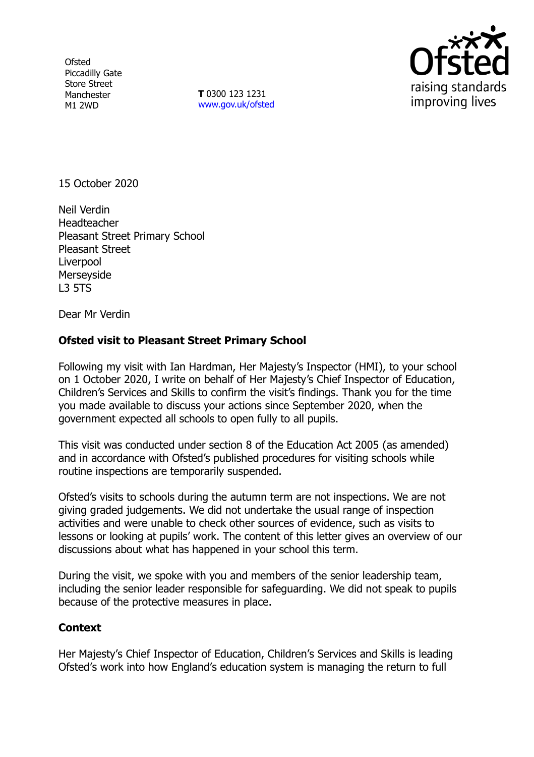**Ofsted** Piccadilly Gate Store Street Manchester M1 2WD

**T** 0300 123 1231 [www.gov.uk/ofsted](http://www.gov.uk/ofsted)



15 October 2020

Neil Verdin **Headteacher** Pleasant Street Primary School Pleasant Street Liverpool Merseyside L3 5TS

Dear Mr Verdin

## **Ofsted visit to Pleasant Street Primary School**

Following my visit with Ian Hardman, Her Majesty's Inspector (HMI), to your school on 1 October 2020, I write on behalf of Her Majesty's Chief Inspector of Education, Children's Services and Skills to confirm the visit's findings. Thank you for the time you made available to discuss your actions since September 2020, when the government expected all schools to open fully to all pupils.

This visit was conducted under section 8 of the Education Act 2005 (as amended) and in accordance with Ofsted's published procedures for visiting schools while routine inspections are temporarily suspended.

Ofsted's visits to schools during the autumn term are not inspections. We are not giving graded judgements. We did not undertake the usual range of inspection activities and were unable to check other sources of evidence, such as visits to lessons or looking at pupils' work. The content of this letter gives an overview of our discussions about what has happened in your school this term.

During the visit, we spoke with you and members of the senior leadership team, including the senior leader responsible for safeguarding. We did not speak to pupils because of the protective measures in place.

## **Context**

Her Majesty's Chief Inspector of Education, Children's Services and Skills is leading Ofsted's work into how England's education system is managing the return to full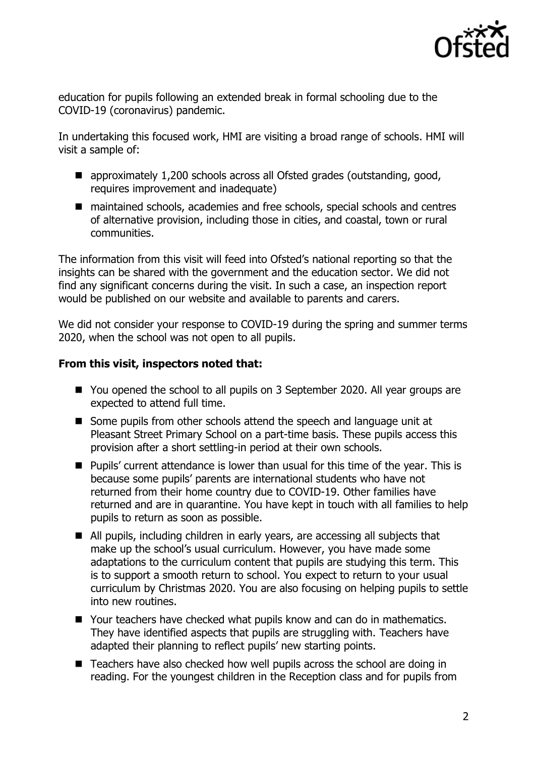

education for pupils following an extended break in formal schooling due to the COVID-19 (coronavirus) pandemic.

In undertaking this focused work, HMI are visiting a broad range of schools. HMI will visit a sample of:

- approximately 1,200 schools across all Ofsted grades (outstanding, good, requires improvement and inadequate)
- maintained schools, academies and free schools, special schools and centres of alternative provision, including those in cities, and coastal, town or rural communities.

The information from this visit will feed into Ofsted's national reporting so that the insights can be shared with the government and the education sector. We did not find any significant concerns during the visit. In such a case, an inspection report would be published on our website and available to parents and carers.

We did not consider your response to COVID-19 during the spring and summer terms 2020, when the school was not open to all pupils.

## **From this visit, inspectors noted that:**

- You opened the school to all pupils on 3 September 2020. All year groups are expected to attend full time.
- Some pupils from other schools attend the speech and language unit at Pleasant Street Primary School on a part-time basis. These pupils access this provision after a short settling-in period at their own schools.
- Pupils' current attendance is lower than usual for this time of the year. This is because some pupils' parents are international students who have not returned from their home country due to COVID-19. Other families have returned and are in quarantine. You have kept in touch with all families to help pupils to return as soon as possible.
- All pupils, including children in early years, are accessing all subjects that make up the school's usual curriculum. However, you have made some adaptations to the curriculum content that pupils are studying this term. This is to support a smooth return to school. You expect to return to your usual curriculum by Christmas 2020. You are also focusing on helping pupils to settle into new routines.
- Your teachers have checked what pupils know and can do in mathematics. They have identified aspects that pupils are struggling with. Teachers have adapted their planning to reflect pupils' new starting points.
- Teachers have also checked how well pupils across the school are doing in reading. For the youngest children in the Reception class and for pupils from